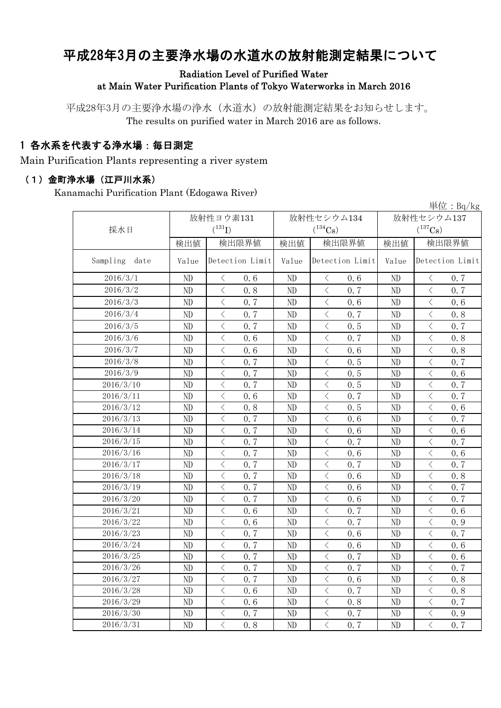# 平成28年3月の主要浄水場の水道水の放射能測定結果について

Radiation Level of Purified Water

at Main Water Purification Plants of Tokyo Waterworks in March 2016

平成28年3月の主要浄水場の浄水(水道水)の放射能測定結果をお知らせします。 The results on purified water in March 2016 are as follows.

### 1 各水系を代表する浄水場:毎日測定

Main Purification Plants representing a river system

#### (1)金町浄水場(江戸川水系)

Kanamachi Purification Plant (Edogawa River)

|                  | 単位: $Bq/kg$ |                                                  |       |                                                 |                       |                                                 |  |  |  |  |
|------------------|-------------|--------------------------------------------------|-------|-------------------------------------------------|-----------------------|-------------------------------------------------|--|--|--|--|
|                  | 放射性ヨウ素131   |                                                  |       | 放射性セシウム134                                      | 放射性セシウム137            |                                                 |  |  |  |  |
| 採水日              |             | $(^{131}I)$                                      |       | $(^{134}Cs)$                                    | $(^{137}\mathrm{Cs})$ |                                                 |  |  |  |  |
|                  | 検出値         | 検出限界値                                            | 検出値   | 検出限界値                                           | 検出値                   | 検出限界値                                           |  |  |  |  |
| Sampling<br>date | Value       | Detection Limit                                  | Value | Detection Limit                                 | Value                 | Detection Limit                                 |  |  |  |  |
| 2016/3/1         | ND          | 0.6<br>$\lt$                                     | ND    | 0.6<br>$\lt$                                    | ND                    | 0.7<br>$\langle$                                |  |  |  |  |
| 2016/3/2         | ND          | $\overline{\left\langle \right\rangle }$<br>0.8  | ND    | $\langle$<br>0.7                                | ND                    | $\langle$<br>0.7                                |  |  |  |  |
| 2016/3/3         | ND          | $\overline{\left\langle \right\rangle }$<br>0.7  | ND    | $\overline{\left\langle \right\rangle }$<br>0.6 | ND                    | $\langle$<br>0.6                                |  |  |  |  |
| 2016/3/4         | ND          | $\langle$<br>0.7                                 | ND    | $\lt$<br>0.7                                    | ND                    | $\lt$<br>0.8                                    |  |  |  |  |
| 2016/3/5         | ND          | $\overline{\left\langle \right\rangle }$<br>0.7  | ND    | $\overline{\left\langle \right\rangle }$<br>0.5 | ND                    | $\langle$<br>0.7                                |  |  |  |  |
| 2016/3/6         | ND          | $\overline{\left\langle \right\rangle }$<br>0.6  | ND    | $\overline{\left\langle \right\rangle }$<br>0.7 | $\rm ND$              | $\langle$<br>0.8                                |  |  |  |  |
| 2016/3/7         | ND          | $\langle$<br>0.6                                 | ND    | $\lt$<br>0.6                                    | ND                    | $\langle$<br>0.8                                |  |  |  |  |
| 2016/3/8         | ND          | $\overline{\left\langle \right\rangle }$<br>0.7  | ND    | $\overline{\left\langle \right\rangle }$<br>0.5 | ND                    | $\langle$<br>0.7                                |  |  |  |  |
| 2016/3/9         | ND          | $\overline{\left\langle \right\rangle }$<br>0.7  | ND    | $\overline{\left\langle \right\rangle }$<br>0.5 | $\rm ND$              | $\langle$<br>0.6                                |  |  |  |  |
| 2016/3/10        | ND          | $\overline{\left\langle \right\rangle }$<br>0.7  | ND    | $\overline{\left\langle \right\rangle }$<br>0.5 | ND                    | $\overline{\left\langle \right\rangle }$<br>0.7 |  |  |  |  |
| 2016/3/11        | ND          | $\lt$<br>0.6                                     | ND    | $\overline{\left\langle \right\rangle }$<br>0.7 | $\rm ND$              | $\lt$<br>0.7                                    |  |  |  |  |
| 2016/3/12        | $\rm ND$    | $\overline{\left\langle \right\rangle }$<br>0.8  | ND    | $\overline{\left\langle \right\rangle }$<br>0.5 | $\rm ND$              | $\overline{\left\langle \right\rangle }$<br>0.6 |  |  |  |  |
| 2016/3/13        | $\rm ND$    | $\lt$<br>0.7                                     | ND    | $\lt$<br>0.6                                    | $\rm ND$              | $\lt$<br>0.7                                    |  |  |  |  |
| 2016/3/14        | ND          | $\langle$<br>0.7                                 | ND    | $\langle$<br>0.6                                | $\rm ND$              | $\,$ $\,$ $\,$<br>0.6                           |  |  |  |  |
| 2016/3/15        | ND          | $\overline{\left\langle \right\rangle }$<br>0.7  | ND    | $\lt$<br>0.7                                    | $\rm ND$              | $\lt$<br>0.7                                    |  |  |  |  |
| 2016/3/16        | ND          | $\overline{\left\langle \right\rangle }$<br>0.7  | ND    | $\langle$<br>0.6                                | $\rm ND$              | $\langle$<br>0.6                                |  |  |  |  |
| 2016/3/17        | ND          | $\overline{\left\langle \right\rangle }$<br>0.7  | ND    | $\lt$<br>0.7                                    | ND                    | $\lt$<br>0.7                                    |  |  |  |  |
| 2016/3/18        | ND          | $\langle$<br>0.7                                 | ND    | $\overline{\left\langle \right\rangle }$<br>0.6 | ND                    | $\langle$<br>0.8                                |  |  |  |  |
| 2016/3/19        | ND          | $\langle$<br>0.7                                 | ND    | $\langle$<br>0.6                                | ND                    | $\lt$<br>0.7                                    |  |  |  |  |
| 2016/3/20        | ND          | $\langle$<br>0.7                                 | ND    | $\overline{\left\langle \right\rangle }$<br>0.6 | $\rm ND$              | $\langle$<br>0.7                                |  |  |  |  |
| 2016/3/21        | ND          | $\overline{\left\langle \right\rangle }$<br>0.6  | ND    | $\lt$<br>0.7                                    | $\rm ND$              | $\,$ $\,$ $\,$<br>0.6                           |  |  |  |  |
| 2016/3/22        | ND          | $\overline{\left\langle \right\rangle }$<br>0.6  | ND    | $\langle$<br>0.7                                | $\rm ND$              | $\,$ $\,$ $\,$<br>0.9                           |  |  |  |  |
| 2016/3/23        | ND          | $\overline{\left\langle \right\rangle }$<br>0.7  | ND    | $\overline{\left\langle \right\rangle }$<br>0.6 | $\rm ND$              | $\langle$<br>0.7                                |  |  |  |  |
| 2016/3/24        | ND          | $\langle$<br>0.7                                 | ND    | $\overline{\left\langle \right\rangle }$<br>0.6 | $\rm ND$              | $\langle$<br>0.6                                |  |  |  |  |
| 2016/3/25        | ND          | $\overline{\left\langle \right\rangle }$<br>0.7  | ND    | $\langle$<br>0.7                                | ND                    | $\langle$<br>0.6                                |  |  |  |  |
| 2016/3/26        | ND          | $\lt$<br>0.7                                     | ND    | $\lt$<br>0.7                                    | ND                    | $\langle$<br>0.7                                |  |  |  |  |
| 2016/3/27        | ND          | $\langle$<br>0.7                                 | ND    | $\langle$<br>0.6                                | ND                    | $\langle$<br>0.8                                |  |  |  |  |
| 2016/3/28        | ND          | $\overline{\left\langle \right\rangle }$<br>0, 6 | ND    | $\overline{\left\langle \right\rangle }$<br>0.7 | ND                    | $\langle$<br>0.8                                |  |  |  |  |
| 2016/3/29        | ND          | $\langle$<br>0.6                                 | ND    | $\overline{\left\langle \right\rangle }$<br>0.8 | ND                    | $\,$ $\,$ $\,$<br>0.7                           |  |  |  |  |
| 2016/3/30        | ND          | $\overline{\left\langle \right\rangle }$<br>0.7  | ND    | $\langle$<br>0.7                                | ND                    | $\langle$<br>0.9                                |  |  |  |  |
| 2016/3/31        | ND          | $\overline{\langle}$<br>0.8                      | ND    | $\overline{\left\langle \right\rangle }$<br>0.7 | ND                    | $\overline{\left\langle \right\rangle }$<br>0.7 |  |  |  |  |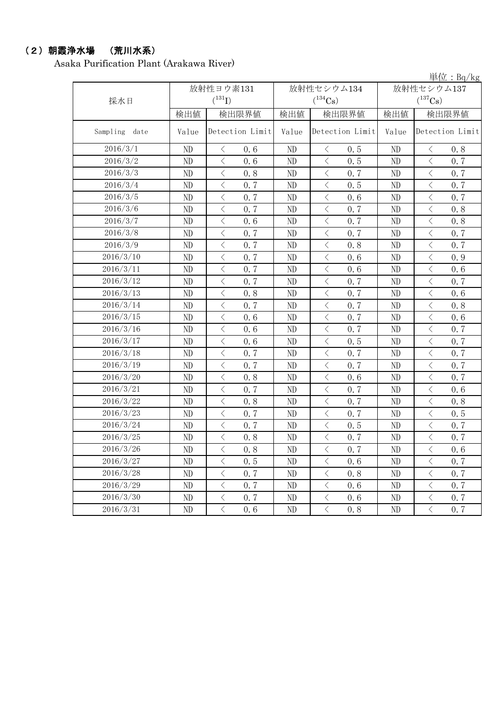### (2)朝霞浄水場 (荒川水系)

Asaka Purification Plant (Arakawa River)

|               |       |                                                 |          |                                                                                                                                                                                                                                                | $\pm 1$ $\mu$ $\cdot$ $Dq/ng$ |                                                 |  |  |
|---------------|-------|-------------------------------------------------|----------|------------------------------------------------------------------------------------------------------------------------------------------------------------------------------------------------------------------------------------------------|-------------------------------|-------------------------------------------------|--|--|
|               |       | 放射性ヨウ素131                                       |          | 放射性セシウム134                                                                                                                                                                                                                                     |                               | 放射性セシウム137                                      |  |  |
| 採水日           |       | $({}^{131}\mathrm{I})$                          |          | $(^{134}\mathrm{Cs})$                                                                                                                                                                                                                          |                               | $(^{137}\mathrm{Cs})$                           |  |  |
|               | 検出値   | 検出限界値                                           | 検出値      | 検出限界値                                                                                                                                                                                                                                          | 検出値                           | 検出限界値                                           |  |  |
| Sampling date | Value | Detection Limit                                 | Value    | Detection Limit                                                                                                                                                                                                                                | Value                         | Detection Limit                                 |  |  |
| 2016/3/1      | ND    | $\lt$<br>0.6                                    | ND       | $\langle$<br>0.5                                                                                                                                                                                                                               | ND                            | $\langle$<br>0.8                                |  |  |
| 2016/3/2      | ND    | $\overline{\left\langle \right\rangle }$<br>0.6 | ND       | $\langle$<br>0.5                                                                                                                                                                                                                               | ND                            | $\langle$<br>0.7                                |  |  |
| 2016/3/3      | ND    | $\lt$<br>0.8                                    | ND       | $\overline{\left\langle \right. }% ,\left\langle \overline{\left\langle \right. }% ,\left\langle \overline{\left\langle \right\rangle }\right\rangle \right.$<br>0.7                                                                           | ND                            | $\lt$<br>0.7                                    |  |  |
| 2016/3/4      | ND    | $\langle$<br>0.7                                | ND       | $\hspace{0.5cm}\big\langle$<br>0.5                                                                                                                                                                                                             | ND                            | $\, \big\langle \,$<br>0.7                      |  |  |
| 2016/3/5      | ND    | $\lt$<br>0.7                                    | ND       | $\, <\,$<br>0.6                                                                                                                                                                                                                                | ND                            | $\lt$<br>0.7                                    |  |  |
| 2016/3/6      | ND    | $\lt$<br>0.7                                    | ND       | $\lt$<br>0.7                                                                                                                                                                                                                                   | ND                            | $\lt$<br>0.8                                    |  |  |
| 2016/3/7      | ND    | $\overline{\left\langle \right\rangle }$<br>0.6 | ND       | $\,$ $\,$ $\,$<br>0.7                                                                                                                                                                                                                          | ND                            | $\langle$<br>0.8                                |  |  |
| 2016/3/8      | ND    | $\langle$<br>0.7                                | ND       | $\langle$<br>0.7                                                                                                                                                                                                                               | ND                            | $\langle$<br>0.7                                |  |  |
| 2016/3/9      | ND    | $\overline{\left\langle \right\rangle }$<br>0.7 | ND       | $\langle$<br>0.8                                                                                                                                                                                                                               | ND                            | $\langle$<br>0.7                                |  |  |
| 2016/3/10     | ND    | $\overline{\left\langle \right\rangle }$<br>0.7 | ND       | $\lt$<br>0.6                                                                                                                                                                                                                                   | ND                            | $\,$ $\,$ $\,$<br>0.9                           |  |  |
| 2016/3/11     | ND    | $\overline{\left\langle \right\rangle }$<br>0.7 | ND       | $\overline{\left\langle \right\rangle }$<br>0.6                                                                                                                                                                                                | ND                            | $\overline{\left\langle \right\rangle }$<br>0.6 |  |  |
| 2016/3/12     | ND    | $\overline{\left\langle \right\rangle }$<br>0.7 | ND       | $\,$ $\,$ $\,$<br>0.7                                                                                                                                                                                                                          | ND                            | $\bigg\langle$<br>0.7                           |  |  |
| 2016/3/13     | ND    | $\,$ $\,$ $\,$<br>0.8                           | ND       | $\overline{\left\langle \right\rangle }$<br>0.7                                                                                                                                                                                                | ND                            | $\langle$<br>0.6                                |  |  |
| 2016/3/14     | ND    | $\overline{\left\langle \right\rangle }$<br>0.7 | ND       | $\lt$<br>0.7                                                                                                                                                                                                                                   | ND                            | $\,$ $\,$ $\,$<br>0.8                           |  |  |
| 2016/3/15     | ND    | $\langle$<br>0.6                                | ND       | $\langle$<br>0.7                                                                                                                                                                                                                               | ND                            | $\langle$<br>0.6                                |  |  |
| 2016/3/16     | ND    | $\overline{\left\langle \right\rangle }$<br>0.6 | ND       | $\langle$<br>0.7                                                                                                                                                                                                                               | ND                            | $\overline{\left\langle \right\rangle }$<br>0.7 |  |  |
| 2016/3/17     | ND    | $\lt$<br>0.6                                    | $\rm ND$ | $\overline{\left\langle \right. }% ,\left\langle \overline{\left\langle \right. }\right\rangle _{0}\right\langle \overline{\left\langle \right. }% ,\left\langle \overline{\left\langle \right. }\right\rangle _{0}\right\rangle _{0}}$<br>0.5 | $\rm ND$                      | $\overline{\left\langle \right\rangle }$<br>0.7 |  |  |
| 2016/3/18     | ND    | $\lt$<br>0.7                                    | ND       | $\,$ $\,$ $\,$<br>0.7                                                                                                                                                                                                                          | ND                            | $\lt$<br>0.7                                    |  |  |
| 2016/3/19     | ND    | $\overline{\left\langle \right\rangle }$<br>0.7 | ND       | $\overline{\left\langle \right. }% ,\left\langle \overline{\left\langle \right. }\right\rangle _{0}\right\langle \overline{\left\langle \right. }% ,\left\langle \overline{\left\langle \right. }\right\rangle _{0}\right\rangle _{0}}$<br>0.7 | ND                            | $\langle$<br>0.7                                |  |  |
| 2016/3/20     | ND    | $\langle$<br>0.8                                | ND       | $\hspace{0.5cm}\big\langle$<br>0.6                                                                                                                                                                                                             | ND                            | $\,$ $\,$ $\,$<br>0.7                           |  |  |
| 2016/3/21     | ND    | $\lt$<br>0.7                                    | ND       | $\langle$<br>0.7                                                                                                                                                                                                                               | ND                            | $\lt$<br>0.6                                    |  |  |
| 2016/3/22     | ND    | $\lt$<br>0.8                                    | ND       | $\langle$<br>0.7                                                                                                                                                                                                                               | ND                            | $\lt$<br>0.8                                    |  |  |
| 2016/3/23     | ND    | $\lt$<br>0.7                                    | $\rm ND$ | $\langle$<br>0.7                                                                                                                                                                                                                               | ND                            | $\langle$<br>0.5                                |  |  |
| 2016/3/24     | ND    | $\langle$<br>0.7                                | ND       | $\langle$<br>0.5                                                                                                                                                                                                                               | ND                            | $\langle$<br>0.7                                |  |  |
| 2016/3/25     | ND    | $\langle$<br>0.8                                | $\rm ND$ | $\lt$<br>0.7                                                                                                                                                                                                                                   | $\rm ND$                      | $\lt$<br>0.7                                    |  |  |
| 2016/3/26     | ND    | $\lt$<br>0.8                                    | $\rm ND$ | $\,$ $\,$ $\,$<br>0.7                                                                                                                                                                                                                          | $\rm ND$                      | $\langle$<br>0.6                                |  |  |
| 2016/3/27     | ND    | $\langle$<br>0.5                                | ND       | $\,$ $\,$ $\,$<br>0.6                                                                                                                                                                                                                          | ND                            | $\lt$<br>0.7                                    |  |  |
| 2016/3/28     | ND    | $\overline{\left\langle \right\rangle }$<br>0.7 | ND       | $\,$ $\,$ $\,$<br>0.8                                                                                                                                                                                                                          | $\rm ND$                      | $\overline{\left\langle \right\rangle }$<br>0.7 |  |  |
| 2016/3/29     | ND    | $\overline{\left\langle \right\rangle }$<br>0.7 | ND       | $\overline{\left\langle \right\rangle }$<br>0.6                                                                                                                                                                                                | $\rm ND$                      | $\langle$<br>0.7                                |  |  |
| 2016/3/30     | ND    | $\overline{\left\langle \right\rangle }$<br>0.7 | ND       | $\lt$<br>0.6                                                                                                                                                                                                                                   | ND                            | $\lt$<br>0.7                                    |  |  |
| 2016/3/31     | ND    | $\langle$<br>0.6                                | ND       | $\langle$<br>0.8                                                                                                                                                                                                                               | $\rm ND$                      | $\langle$<br>0.7                                |  |  |

単位:Bq/kg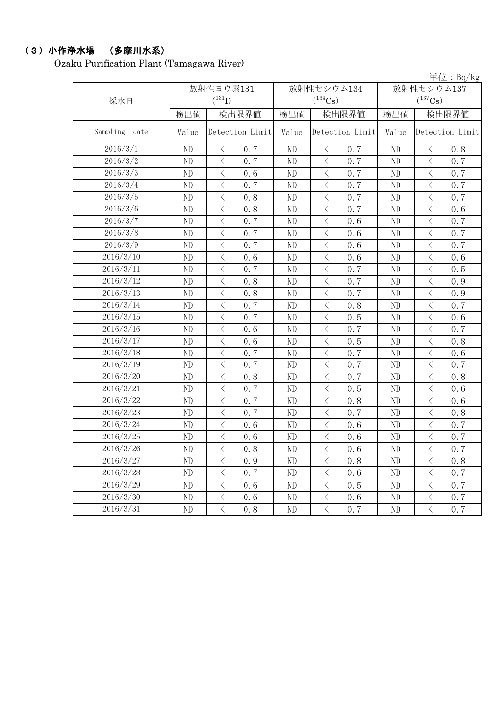# (3)小作浄水場 (多摩川水系)

Ozaku Purification Plant (Tamagawa River)

|                  |          |                                                 |          |                                                                                                                                   |     | $\frac{\cancel{\text{H}}}{\cancel{\text{L}}}$ : Bq/kg |
|------------------|----------|-------------------------------------------------|----------|-----------------------------------------------------------------------------------------------------------------------------------|-----|-------------------------------------------------------|
|                  |          | 放射性ヨウ素131<br>放射性セシウム134                         |          |                                                                                                                                   |     | 放射性セシウム137                                            |
| 採水日              |          | $(^{131}I)$                                     |          | $(^{134}Cs)$                                                                                                                      |     | $(^{137}\mathrm{Cs})$                                 |
|                  | 検出値      | 検出限界値                                           | 検出値      | 検出限界値                                                                                                                             | 検出値 | 検出限界値                                                 |
| Sampling<br>date | Value    | Detection Limit                                 | Value    | Detection Limit                                                                                                                   |     | Detection Limit                                       |
| 2016/3/1         | ND       | 0.7<br>$\langle$                                | ND       | 0.7<br>$\langle$                                                                                                                  | ND  | 0.8<br>$\lt$                                          |
| 2016/3/2         | ND       | $\langle$<br>0.7                                | ND       | $\langle$<br>0.7                                                                                                                  | ND  | $\langle$<br>0.7                                      |
| 2016/3/3         | ND       | $\lt$<br>0.6                                    | ND       | $\lt$<br>0.7                                                                                                                      | ND  | $\lt$<br>0.7                                          |
| 2016/3/4         | ND       | $\,$ $\,$ $\,$<br>0.7                           | ND       | $\hspace{0.1mm} <\hspace{0.1mm}$<br>0.7                                                                                           | ND  | $\langle$<br>0.7                                      |
| 2016/3/5         | ND       | $\,$ $\,$ $\,$<br>0.8                           | ND       | $\langle$<br>0.7                                                                                                                  | ND  | $\langle$<br>0.7                                      |
| 2016/3/6         | ND       | $\langle$<br>0.8                                | ND       | $\,$ $\,$ $\,$<br>0.7                                                                                                             | ND  | $\lt$<br>0.6                                          |
| 2016/3/7         | ND       | $\langle$<br>0.7                                | ND       | $\hspace{0.1mm} <\hspace{0.1mm}$<br>0.6                                                                                           | ND  | $\,$ $\,$ $\,$<br>0.7                                 |
| 2016/3/8         | ND       | $\lt$<br>0.7                                    | ND       | $\, \mathopen{\begin{array}{c} \mathopen{\begin{array}{c} \mathopen{\begin{array}{c} \mathopen{\end{array}}}}\end{array}}$<br>0.6 | ND  | $\, \zeta \,$<br>0.7                                  |
| 2016/3/9         | ND       | $\langle$<br>0.7                                | ND       | $\langle$<br>0.6                                                                                                                  | ND  | $\langle$<br>0.7                                      |
| 2016/3/10        | ND       | $\langle$<br>0.6                                | ND       | $\langle$<br>0.6                                                                                                                  | ND  | $\langle$<br>0.6                                      |
| 2016/3/11        | ND       | $\lt$<br>0.7                                    | ND       | $\lt$<br>0.7                                                                                                                      | ND  | $\lt$<br>0.5                                          |
| 2016/3/12        | ND       | $\lt$<br>0.8                                    | ND       | 0.7<br>$\, < \,$                                                                                                                  | ND  | $\lt$<br>0.9                                          |
| 2016/3/13        | ND       | $\overline{\left\langle \right\rangle }$<br>0.8 | ND       | $\langle$<br>0.7                                                                                                                  | ND  | $\langle$<br>0.9                                      |
| 2016/3/14        | ND       | $\langle$<br>0.7                                | ND       | $\,$ $\,$ $\,$<br>0.8                                                                                                             | ND  | $\lt$<br>0.7                                          |
| 2016/3/15        | ND       | $\langle$<br>0.7                                | ND       | $\,$ $\,$ $\,$<br>0.5                                                                                                             | ND  | $\langle$<br>0.6                                      |
| 2016/3/16        | ND       | $\lt$<br>0.6                                    | ND       | $\, < \,$<br>0.7                                                                                                                  | ND  | $\lt$<br>0.7                                          |
| 2016/3/17        | ND       | $\langle$<br>0.6                                | ND       | $\langle$<br>0.5                                                                                                                  | ND  | $\langle$<br>0.8                                      |
| 2016/3/18        | ND       | $\langle$<br>0.7                                | ND       | $\langle$<br>0.7                                                                                                                  | ND  | $\,$ $\,$ $\,$<br>0.6                                 |
| 2016/3/19        | ND       | $\lt$<br>0.7                                    | ND       | $\, < \,$<br>0.7                                                                                                                  | ND  | $\lt$<br>0.7                                          |
| 2016/3/20        | ND       | $\,$ $\,$ $\,$<br>0.8                           | ND       | $\hspace{0.1mm} <\hspace{0.1mm}$<br>0.7                                                                                           | ND  | $\,$ $\,$ $\,$<br>0.8                                 |
| 2016/3/21        | ND       | $\,$ $\,$ $\,$<br>0.7                           | ND       | $\langle$<br>0.5                                                                                                                  | ND  | $\langle$<br>0.6                                      |
| 2016/3/22        | ND       | $\langle$<br>0.7                                | ND       | $\lt$<br>0.8                                                                                                                      | ND  | $\lt$<br>0.6                                          |
| 2016/3/23        | ND       | $\,$ $\,$ $\,$<br>0.7                           | ND       | $\hspace{0.1mm} <\hspace{0.1mm}$<br>0.7                                                                                           | ND  | $\,$ $\,$ $\,$<br>0.8                                 |
| 2016/3/24        | ND       | $\lt$<br>0.6                                    | ND       | $\hspace{0.1mm} <\hspace{0.1mm}$<br>0.6                                                                                           | ND  | $\, \zeta \,$<br>0.7                                  |
| 2016/3/25        | ND       | $\langle$<br>0.6                                | ND       | $\langle$<br>0.6                                                                                                                  | ND  | $\langle$<br>0.7                                      |
| 2016/3/26        | $\rm ND$ | $\bigg\langle$<br>0.8                           | $\rm ND$ | $\bigg\langle$<br>0.6                                                                                                             | ND  | $\bigg\langle$<br>0.7                                 |
| 2016/3/27        | ND       | $\langle$<br>0.9                                | ND       | $\, < \,$<br>0.8                                                                                                                  | ND  | $\langle$<br>0.8                                      |
| 2016/3/28        | ND       | $\, <\,$<br>0.7                                 | ND       | $\hspace{0.1mm} <\hspace{0.1mm}$<br>0.6                                                                                           | ND  | $\, \big\langle \,$<br>0.7                            |
| 2016/3/29        | $\rm ND$ | $\langle$<br>0.6                                | ND       | $\langle$<br>0.5                                                                                                                  | ND  | $\, \big\langle \,$<br>0.7                            |
| 2016/3/30        | ND       | $\langle$<br>0.6                                | ND       | $\langle$<br>0.6                                                                                                                  | ND  | $\mathord{<}$<br>0.7                                  |
| 2016/3/31        | ND       | $\langle$<br>0.8                                | ND       | $\hspace{0.1mm} <\hspace{0.1mm}$<br>0.7                                                                                           | ND  | $\, <\,$<br>0, 7                                      |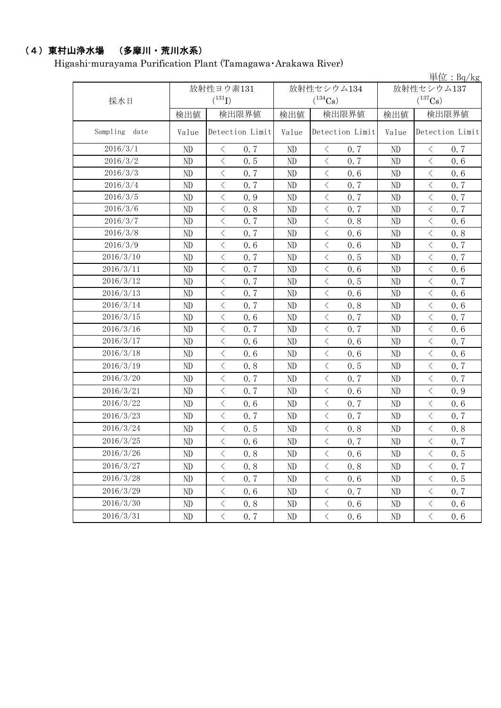# (4)東村山浄水場 (多摩川・荒川水系)

Higashi-murayama Purification Plant (Tamagawa・Arakawa River)

|                  |          |                                                 |          |                                                                                                               |       | 単位: $Bq/kg$                                     |
|------------------|----------|-------------------------------------------------|----------|---------------------------------------------------------------------------------------------------------------|-------|-------------------------------------------------|
|                  |          | 放射性ヨウ素131                                       |          | 放射性セシウム134                                                                                                    |       | 放射性セシウム137                                      |
| 採水日              |          | $(^{131}I)$                                     |          | $(^{134}\mathrm{Cs})$                                                                                         |       | $(^{137}\mathrm{Cs})$                           |
|                  | 検出値      | 検出限界値                                           | 検出値      | 検出限界値                                                                                                         | 検出値   | 検出限界値                                           |
| Sampling<br>date | Value    | Detection Limit                                 | Value    | Detection Limit                                                                                               | Value | Detection Limit                                 |
| 2016/3/1         | ND       | $\langle$<br>0.7                                | ND       | $\langle$<br>0.7                                                                                              | ND    | 0.7<br>$\lt$                                    |
| 2016/3/2         | ND       | $\langle$<br>0.5                                | ND       | $\langle$<br>0.7                                                                                              | ND    | $\lt$<br>0.6                                    |
| 2016/3/3         | ND       | $\langle$<br>0.7                                | ND       | $\,$ $\,$ $\,$<br>0.6                                                                                         | ND    | $\,$ $\,$ $\,$<br>0, 6                          |
| 2016/3/4         | ND       | $\langle$<br>0.7                                | ND       | $\langle$<br>0.7                                                                                              | ND    | $\langle$<br>0.7                                |
| 2016/3/5         | ND       | $\langle$<br>0.9                                | ND       | $\,$ $\,$ $\,$<br>0.7                                                                                         | ND    | $\lt$<br>0.7                                    |
| 2016/3/6         | ND       | $\langle$<br>0.8                                | ND       | $\,$ $\,$ $\,$<br>0.7                                                                                         | ND    | $\,$ $\,$ $\,$<br>0.7                           |
| 2016/3/7         | ND       | $\langle$<br>0.7                                | ND       | $\hspace{0.1mm}\mathopen{\begin{array}{c}\mathopen{\fbox{$\scriptstyle<\}}\end{array}}\hspace{-0.1mm}$<br>0.8 | ND    | $\, <\,$<br>0.6                                 |
| 2016/3/8         | ND       | $\langle$<br>0.7                                | ND       | $\langle$<br>0.6                                                                                              | ND    | $\langle$<br>0.8                                |
| 2016/3/9         | ND       | $\langle$<br>0.6                                | ND       | $\langle$<br>0.6                                                                                              | ND    | $\overline{\left\langle \right\rangle }$<br>0.7 |
| 2016/3/10        | ND       | $\langle$<br>0.7                                | ND       | $\langle$<br>0.5                                                                                              | ND    | $\lt$<br>0.7                                    |
| 2016/3/11        | ND       | $\lt$<br>0.7                                    | ND       | $\,$ $\,$ $\,$<br>0.6                                                                                         | ND    | $\lt$<br>0.6                                    |
| 2016/3/12        | ND       | $\overline{\left\langle \right\rangle }$<br>0.7 | ND       | $\,$ $\,$ $\,$<br>0.5                                                                                         | ND    | $\,$ $\,$ $\,$<br>0.7                           |
| 2016/3/13        | ND       | $\langle$<br>0.7                                | ND       | $\langle$<br>0.6                                                                                              | ND    | $\lt$<br>0.6                                    |
| 2016/3/14        | ND       | $\,$ $\,$ $\,$<br>0.7                           | ND       | $\langle$<br>0.8                                                                                              | ND    | $\langle$<br>0.6                                |
| 2016/3/15        | ND       | $\lt$<br>0.6                                    | ND       | $\, < \,$<br>0.7                                                                                              | ND    | $\lt$<br>0.7                                    |
| 2016/3/16        | ND       | $\langle$<br>0.7                                | ND       | $\langle$<br>0.7                                                                                              | ND    | $\langle$<br>0.6                                |
| 2016/3/17        | ND       | $\langle$<br>0.6                                | ND       | $\big\langle$<br>0.6                                                                                          | ND    | $\langle$<br>0.7                                |
| 2016/3/18        | ND       | $\langle$<br>0.6                                | ND       | $\langle$<br>0.6                                                                                              | ND    | $\langle$<br>0.6                                |
| 2016/3/19        | ND       | $\langle$<br>0.8                                | ND       | $\langle$<br>0.5                                                                                              | ND    | $\langle$<br>0.7                                |
| 2016/3/20        | ND       | $\langle$<br>0.7                                | ND       | $\langle$<br>0.7                                                                                              | ND    | $\langle$<br>0.7                                |
| 2016/3/21        | ND       | $\langle$<br>0.7                                | ND       | $\langle$<br>0.6                                                                                              | ND    | $\langle$<br>0.9                                |
| 2016/3/22        | ND       | $\langle$<br>0.6                                | ND       | $\,$ $\,$ $\,$<br>0.7                                                                                         | ND    | $\lt$<br>0.6                                    |
| 2016/3/23        | ND       | $\langle$<br>0.7                                | ND       | $\,$ $\,$ $\,$<br>0.7                                                                                         | ND    | $\lt$<br>0.7                                    |
| 2016/3/24        | ND       | $\langle$<br>0.5                                | ND       | $\langle$<br>0.8                                                                                              | ND    | $\lt$<br>0.8                                    |
| 2016/3/25        | ND       | $\langle$<br>0.6                                | ND       | $\langle$<br>0.7                                                                                              | ND    | $\,$ $\,$ $\,$<br>0.7                           |
| 2016/3/26        | ND       | $\langle$<br>0.8                                | ND       | $\langle$<br>0.6                                                                                              | ND    | $\lt$<br>0.5                                    |
| 2016/3/27        | ND       | $\, \big\langle \,$<br>0.8                      | ND       | $\big\langle$<br>0.8                                                                                          | ND    | $\, <\,$<br>0.7                                 |
| 2016/3/28        | ND       | $\big\langle$<br>0.7                            | ND       | $\, \big\langle \,$<br>0.6                                                                                    | ND    | $\lt$<br>0.5                                    |
| 2016/3/29        | ND       | $\, \big\langle \,$<br>0.6                      | ND       | $\, \big\langle \,$<br>0.7                                                                                    | ND    | $\, <\,$<br>0.7                                 |
| 2016/3/30        | ND       | $\lt$<br>0.8                                    | ND       | $\lt$<br>0.6                                                                                                  | ND    | $\lt$<br>0.6                                    |
| 2016/3/31        | $\rm ND$ | $\langle$<br>0, 7                               | $\rm ND$ | $\, <\,$<br>0.6                                                                                               | ND    | $\langle$<br>0.6                                |
|                  |          |                                                 |          |                                                                                                               |       |                                                 |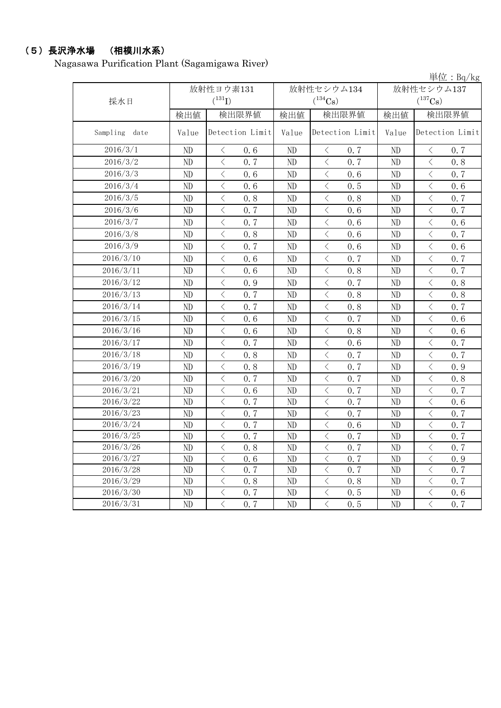# (5)長沢浄水場 (相模川水系)

Nagasawa Purification Plant (Sagamigawa River)

|               |          |                                                 |          | $+12 \cdot 10^{1/118}$                          |            |                                                 |  |  |
|---------------|----------|-------------------------------------------------|----------|-------------------------------------------------|------------|-------------------------------------------------|--|--|
|               |          | 放射性ヨウ素131                                       |          | 放射性セシウム134                                      | 放射性セシウム137 |                                                 |  |  |
| 採水日           |          | $(^{131}I)$                                     |          | $(^{134}\mathrm{Cs})$                           |            | $(^{137}Cs)$                                    |  |  |
|               | 検出値      | 検出限界値                                           | 検出値      | 検出限界値                                           | 検出値        | 検出限界値                                           |  |  |
| Sampling date | Value    | Detection Limit                                 | Value    | Detection Limit                                 | Value      | Detection Limit                                 |  |  |
| 2016/3/1      | ND       | $\big\langle$<br>0, 6                           | ND       | $\langle$<br>0.7                                | ND         | $\big\langle$<br>0.7                            |  |  |
| 2016/3/2      | $\rm ND$ | $\lt$<br>0, 7                                   | ND       | $\,$ $\,$ $\,$<br>0, 7                          | $\rm ND$   | $\lt$<br>0.8                                    |  |  |
| 2016/3/3      | $\rm ND$ | $\, <\,$<br>0.6                                 | ND       | $\hspace{0.1mm} <\hspace{0.1mm}$<br>0.6         | $\rm ND$   | $\, <\,$<br>0.7                                 |  |  |
| 2016/3/4      | $\rm ND$ | $\overline{\left\langle \right\rangle }$<br>0.6 | $\rm ND$ | $\overline{\left\langle \right\rangle }$<br>0.5 | $\rm ND$   | $\overline{\left\langle \right\rangle }$<br>0.6 |  |  |
| 2016/3/5      | ND       | $\langle$<br>0.8                                | ND       | $\overline{\left\langle \right\rangle }$<br>0.8 | ND         | $\langle$<br>0.7                                |  |  |
| 2016/3/6      | ND       | $\langle$<br>0.7                                | ND       | $\lt$<br>0.6                                    | ND         | $\,<\,$<br>0.7                                  |  |  |
| 2016/3/7      | $\rm ND$ | $\langle$<br>0.7                                | ND       | $\langle$<br>0, 6                               | ND         | $\langle$<br>0.6                                |  |  |
| 2016/3/8      | ND       | $\langle$<br>0.8                                | ND       | $\hspace{0.1mm} <\hspace{0.1mm}$<br>0.6         | ND         | $\,$ $\,$ $\,$<br>0.7                           |  |  |
| 2016/3/9      | ND       | $\overline{\langle}$<br>0.7                     | ND       | $\langle$<br>0.6                                | $\rm ND$   | $\langle$<br>0.6                                |  |  |
| 2016/3/10     | $\rm ND$ | $\langle$<br>0, 6                               | ND       | $\langle$<br>0.7                                | ND         | $\,$ $\,$ $\,$<br>0.7                           |  |  |
| 2016/3/11     | $\rm ND$ | $\lt$<br>0, 6                                   | ND       | $\hspace{0.1mm} <\hspace{0.1mm}$<br>0.8         | $\rm ND$   | $\,$ $\,$ $\,$<br>0.7                           |  |  |
| 2016/3/12     | ND       | $\lt$<br>0.9                                    | ND       | $\,$ $\,$ $\,$<br>0.7                           | $\rm ND$   | $\lt$<br>0.8                                    |  |  |
| 2016/3/13     | ND       | $\langle$<br>0.7                                | ND       | $\langle$<br>0.8                                | ND         | $\lt$<br>0.8                                    |  |  |
| 2016/3/14     | $\rm ND$ | $\langle$<br>0.7                                | ND       | $\langle$<br>0.8                                | $\rm ND$   | $\langle$<br>0, 7                               |  |  |
| 2016/3/15     | ND       | $\langle$<br>0.6                                | $\rm ND$ | $\,$ $\,$ $\,$<br>0.7                           | $\rm ND$   | $\langle$<br>0.6                                |  |  |
| 2016/3/16     | ND       | $\langle$<br>0.6                                | ND       | $\lt$<br>0.8                                    | ND         | $\langle$<br>0.6                                |  |  |
| 2016/3/17     | ND       | $\langle$<br>0.7                                | $\rm ND$ | $\,$ $\,$ $\,$<br>0.6                           | $\rm ND$   | $\overline{\left\langle \right\rangle }$<br>0.7 |  |  |
| 2016/3/18     | ND       | $\langle$<br>0.8                                | ND       | $\langle$<br>0.7                                | $\rm ND$   | $\langle$<br>0.7                                |  |  |
| 2016/3/19     | ND       | $\langle$<br>0.8                                | ND       | $\langle$<br>0.7                                | ND         | $\langle$<br>0.9                                |  |  |
| 2016/3/20     | ND       | $\overline{\left\langle \right\rangle }$<br>0.7 | ND       | $\langle$<br>0.7                                | $\rm ND$   | $\overline{\left\langle \right\rangle }$<br>0.8 |  |  |
| 2016/3/21     | $\rm ND$ | $\langle$<br>0.6                                | $\rm ND$ | $\langle$<br>0.7                                | $\rm ND$   | $\lt$<br>0.7                                    |  |  |
| 2016/3/22     | ND       | $\langle$<br>0.7                                | $\rm ND$ | $\langle$<br>0.7                                | $\rm ND$   | $\langle$<br>0.6                                |  |  |
| 2016/3/23     | ND       | $\langle$<br>0.7                                | ND       | $\lt$<br>0.7                                    | $\rm ND$   | $\langle$<br>0.7                                |  |  |
| 2016/3/24     | ND       | $\overline{\left\langle \right\rangle }$<br>0.7 | ND       | $\langle$<br>0.6                                | ND         | $\langle$<br>0.7                                |  |  |
| 2016/3/25     | ND       | $\overline{\left\langle \right\rangle }$<br>0.7 | ND       | $\langle$<br>0, 7                               | ND         | $\overline{\left\langle \right\rangle }$<br>0.7 |  |  |
| 2016/3/26     | ND       | $\overline{\left\langle \right\rangle }$<br>0.8 | $\rm ND$ | $\langle$<br>0.7                                | $\rm ND$   | $\langle$<br>0.7                                |  |  |
| 2016/3/27     | ND       | $\overline{\left\langle \right\rangle }$<br>0.6 | ND       | $\overline{\left\langle \right\rangle }$<br>0.7 | ND         | $\overline{\left\langle \right\rangle }$<br>0.9 |  |  |
| 2016/3/28     | ND       | $\langle$<br>0.7                                | ND       | $\langle$<br>0.7                                | $\rm ND$   | $\,$ $\,$ $\,$<br>0.7                           |  |  |
| 2016/3/29     | ND       | $\langle$<br>0.8                                | ND       | $\langle$<br>0.8                                | $\rm ND$   | $\langle$<br>0.7                                |  |  |
| 2016/3/30     | ND       | $\,$ $\,$ $\,$<br>0.7                           | ND       | $\hspace{0.1mm} <\hspace{0.1mm}$<br>0.5         | ND         | $\bigg\langle$<br>0.6                           |  |  |
| 2016/3/31     | ND       | $\overline{\left\langle \right\rangle }$<br>0.7 | ND       | $\overline{\langle}$<br>0.5                     | ND         | $\overline{\langle}$<br>0.7                     |  |  |

単位:Bq/kg